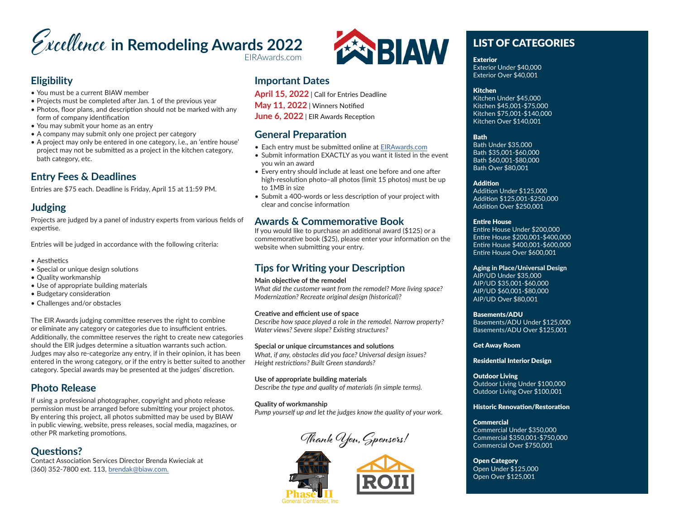# **Excellence in Remodeling Awards 2022** EIRAwards.com

### **Eligibility**

- You must be a current BIAW member
- Projects must be completed after Jan. 1 of the previous year
- Photos, floor plans, and description should not be marked with any form of company identification
- You may submit your home as an entry
- A company may submit only one project per category
- A project may only be entered in one category, i.e., an 'entire house' project may not be submitted as a project in the kitchen category, bath category, etc.

### **Entry Fees & Deadlines**

Entries are \$75 each. Deadline is Friday, April 15 at 11:59 PM.

### **Judging**

Projects are judged by a panel of industry experts from various fields of expertise.

Entries will be judged in accordance with the following criteria:

- Aesthetics
- Special or unique design solutions
- Quality workmanship
- Use of appropriate building materials
- Budgetary consideration
- Challenges and/or obstacles

The EIR Awards judging committee reserves the right to combine or eliminate any category or categories due to insufficient entries. Additionally, the committee reserves the right to create new categories should the EIR judges determine a situation warrants such action. Judges may also re-categorize any entry, if in their opinion, it has been entered in the wrong category, or if the entry is better suited to another category. Special awards may be presented at the judges' discretion.

### **Photo Release**

If using a professional photographer, copyright and photo release permission must be arranged before submitting your project photos. By entering this project, all photos submitted may be used by BIAW in public viewing, website, press releases, social media, magazines, or other PR marketing promotions.

### **Questions?**

Contact Association Services Director Brenda Kwieciak at (360) 352-7800 ext. 113, brendak@biaw.com.



### **Important Dates**

**April 15, 2022** | Call for Entries Deadline **May 11, 2022** | Winners Notified **June 6, 2022** | EIR Awards Reception

### **General Preparation**

- Each entry must be submitted online at EIRAwards.com
- Submit information EXACTLY as you want it listed in the event you win an award
- Every entry should include at least one before and one after high-resolution photo–all photos (limit 15 photos) must be up to 1MB in size
- Submit a 400-words or less description of your project with clear and concise information

### **Awards & Commemorative Book**

If you would like to purchase an additional award (\$125) or a commemorative book (\$25), please enter your information on the website when submitting your entry.

### **Tips for Writing your Description**

### **Main objective of the remodel**

*What did the customer want from the remodel? More living space? Modernization? Recreate original design (historical)?*

### **Creative and efficient use of space**

*Describe how space played a role in the remodel. Narrow property? Water views? Severe slope? Existing structures?*

**Special or unique circumstances and solutions** *What, if any, obstacles did you face? Universal design issues? Height restrictions? Built Green standards?*

**Use of appropriate building materials** *Describe the type and quality of materials (in simple terms).*

**Quality of workmanship** *Pump yourself up and let the judges know the quality of your work.*

**Thank You, Sponsors!**





# LIST OF CATEGORIES

Exterior

Exterior Under \$40,000 Exterior Over \$40,001

### Kitchen

Kitchen Under \$45,000 Kitchen \$45,001-\$75,000 Kitchen \$75,001-\$140,000 Kitchen Over \$140,001

#### Bath

Bath Under \$35,000 Bath \$35,001-\$60,000 Bath \$60,001-\$80,000 Bath Over \$80,001

#### Addition

Addition Under \$125,000 Addition \$125,001-\$250,000 Addition Over \$250,001

### Entire House

Entire House Under \$200,000 Entire House \$200,001-\$400,000 Entire House \$400,001-\$600,000 Entire House Over \$600,001

### Aging in Place/Universal Design

AIP/UD Under \$35,000 AIP/UD \$35,001-\$60,000 AIP/UD \$60,001-\$80,000 AIP/UD Over \$80,001

### Basements/ADU

Basements/ADU Under \$125,000 Basements/ADU Over \$125,001

Get Away Room

### Residential Interior Design

Outdoor Living Outdoor Living Under \$100,000 Outdoor Living Over \$100,001

#### Historic Renovation/Restoration

### Commercial

Commercial Under \$350,000 Commercial \$350,001-\$750,000 Commercial Over \$750,001

Open Category Open Under \$125,000 Open Over \$125,001